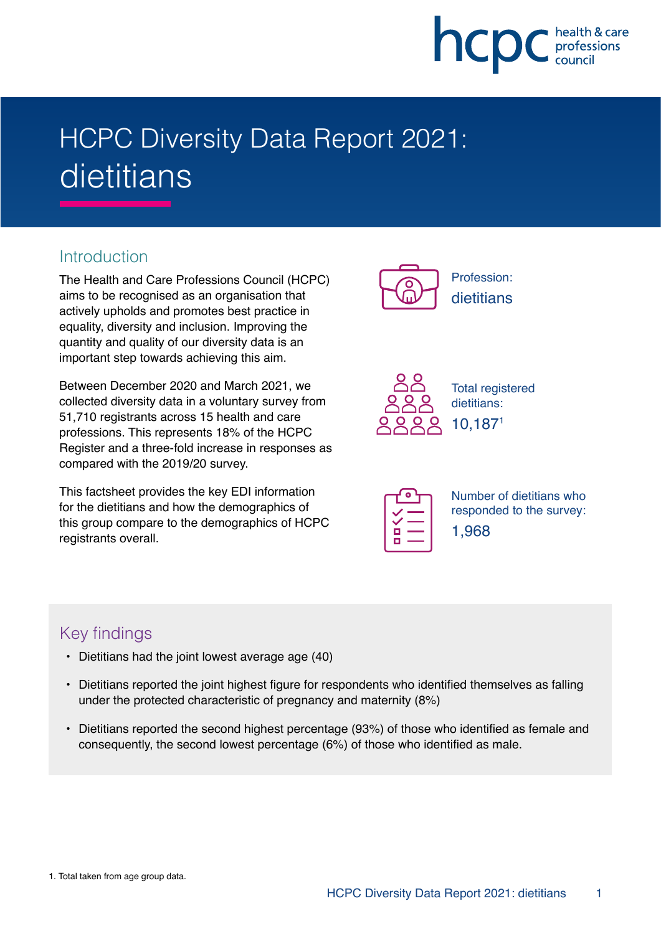

# HCPC Diversity Data Report 2021: dietitians

## **Introduction**

The Health and Care Professions Council (HCPC) aims to be recognised as an organisation that actively upholds and promotes best practice in equality, diversity and inclusion. Improving the quantity and quality of our diversity data is an important step towards achieving this aim.

Between December 2020 and March 2021, we collected diversity data in a voluntary survey from 51,710 registrants across 15 health and care professions. This represents 18% of the HCPC Register and a three-fold increase in responses as compared with the 2019/20 survey.

This factsheet provides the key EDI information for the dietitians and how the demographics of this group compare to the demographics of HCPC registrants overall.





Total registered dietitians: 10,1871

| г |  |
|---|--|
|   |  |

Number of dietitians who responded to the survey: 1,968

# Key findings

- Dietitians had the joint lowest average age (40)
- Dietitians reported the joint highest figure for respondents who identified themselves as falling under the protected characteristic of pregnancy and maternity (8%)
- Dietitians reported the second highest percentage (93%) of those who identified as female and consequently, the second lowest percentage (6%) of those who identified as male.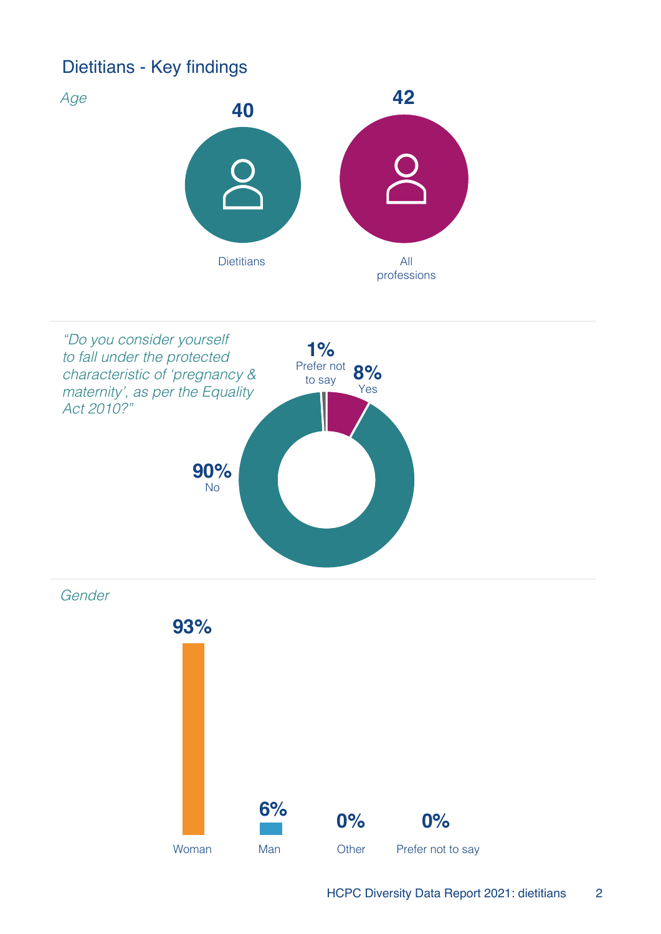# Dietitians - Key findings





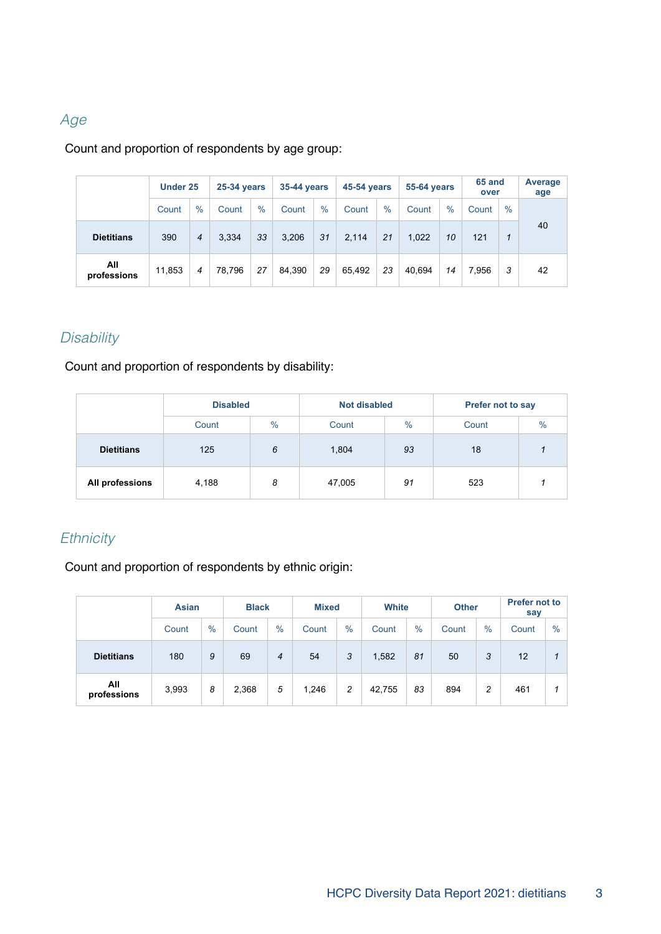### Age

#### Count and proportion of respondents by age group:

|                    | Under 25 |      |        | <b>25-34 years</b> |        | <b>35-44 years</b> |        | <b>45-54 years</b> |        | <b>55-64 years</b> |       | 65 and<br>over | Average<br>age |
|--------------------|----------|------|--------|--------------------|--------|--------------------|--------|--------------------|--------|--------------------|-------|----------------|----------------|
|                    | Count    | $\%$ | Count  | $\%$               | Count  | $\%$               | Count  | $\%$               | Count  | $\frac{0}{0}$      | Count | $\frac{0}{0}$  |                |
| <b>Dietitians</b>  | 390      | 4    | 3,334  | 33                 | 3,206  | 31                 | 2,114  | 21                 | 1,022  | 10                 | 121   | 1              | 40             |
| All<br>professions | 11,853   | 4    | 78.796 | 27                 | 84.390 | 29                 | 65.492 | 23                 | 40.694 | 14                 | 7.956 | 3              | 42             |

# **Disability**

Count and proportion of respondents by disability:

|                   | <b>Disabled</b> |   | <b>Not disabled</b> |               | <b>Prefer not to say</b> |      |
|-------------------|-----------------|---|---------------------|---------------|--------------------------|------|
|                   | $\%$<br>Count   |   | Count               | $\frac{9}{6}$ | Count                    | $\%$ |
| <b>Dietitians</b> | 125<br>6        |   | 1,804               | 93            | 18                       |      |
| All professions   | 4,188           | 8 | 47,005              | 91            | 523                      |      |

## **Ethnicity**

Count and proportion of respondents by ethnic origin:

|                    | <b>Asian</b> |      | <b>Black</b> |      |       | Mixed |        | <b>White</b> |               | <b>Other</b> | <b>Prefer not to</b><br>say |      |
|--------------------|--------------|------|--------------|------|-------|-------|--------|--------------|---------------|--------------|-----------------------------|------|
|                    | Count        | $\%$ | Count        | $\%$ | Count | $\%$  | Count  | $\%$         | $\%$<br>Count |              | Count                       | $\%$ |
| <b>Dietitians</b>  | 180          | 9    | 69           | 4    | 54    | 3     | 1,582  | 81           | 50            | 3            | 12                          |      |
| All<br>professions | 3,993        | 8    | 2,368        | 5    | 1,246 | 2     | 42,755 | 83           | 894           | 2            | 461                         |      |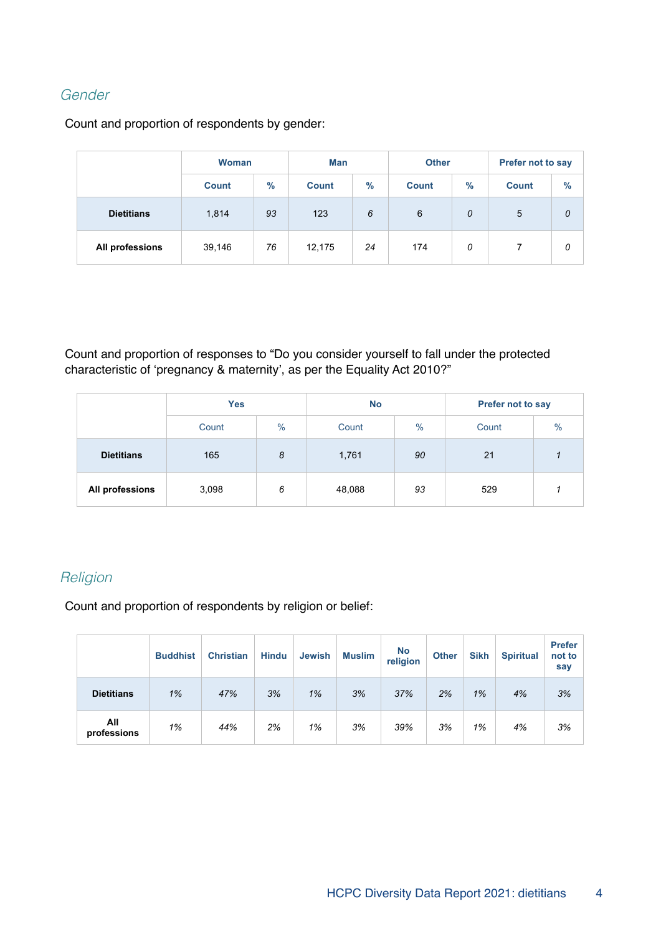### Gender

Count and proportion of respondents by gender:

|                   | <b>Woman</b> |               | Man          |      | <b>Other</b> |               | Prefer not to say |      |  |
|-------------------|--------------|---------------|--------------|------|--------------|---------------|-------------------|------|--|
|                   | <b>Count</b> | $\frac{9}{6}$ | <b>Count</b> | $\%$ | <b>Count</b> | $\frac{9}{6}$ | <b>Count</b>      | $\%$ |  |
| <b>Dietitians</b> | 93<br>1,814  |               | 123          | 6    |              | 0             | 5                 | 0    |  |
| All professions   | 39,146       | 76            | 12,175       | 24   |              | 0             |                   | 0    |  |

Count and proportion of responses to "Do you consider yourself to fall under the protected characteristic of 'pregnancy & maternity', as per the Equality Act 2010?"

|                   | <b>Yes</b> |      | <b>No</b> |      | Prefer not to say |      |  |
|-------------------|------------|------|-----------|------|-------------------|------|--|
|                   | Count      | $\%$ | Count     | $\%$ | Count             | $\%$ |  |
| <b>Dietitians</b> | 165<br>8   |      | 1,761     | 90   | 21                |      |  |
| All professions   | 3,098      | 6    | 48,088    | 93   | 529               |      |  |

#### **Religion**

Count and proportion of respondents by religion or belief:

|                    | <b>Buddhist</b> | <b>Christian</b> | <b>Hindu</b> | <b>Jewish</b> | <b>Muslim</b> | <b>No</b><br>religion | <b>Other</b> | <b>Sikh</b> | <b>Spiritual</b> | <b>Prefer</b><br>not to<br>say |
|--------------------|-----------------|------------------|--------------|---------------|---------------|-----------------------|--------------|-------------|------------------|--------------------------------|
| <b>Dietitians</b>  | 1%              | 47%              | 3%           | 1%            | 3%            | 37%                   | 2%           | 1%          | 4%               | 3%                             |
| All<br>professions | 1%              | 44%              | 2%           | 1%            | 3%            | 39%                   | 3%           | 1%          | 4%               | 3%                             |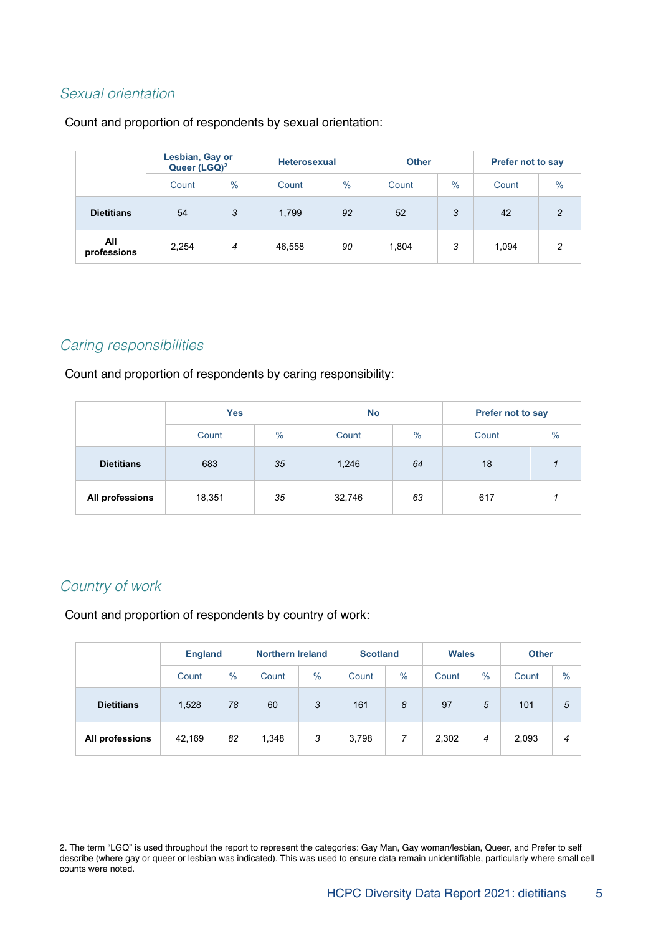#### Sexual orientation

Count and proportion of respondents by sexual orientation:

|                    | Lesbian, Gay or<br>Queer (LGQ) <sup>2</sup> |               |        | <b>Heterosexual</b> |       |      | <b>Prefer not to say</b> |                |  |
|--------------------|---------------------------------------------|---------------|--------|---------------------|-------|------|--------------------------|----------------|--|
|                    | Count                                       | $\frac{0}{0}$ | Count  | $\frac{0}{0}$       | Count | $\%$ | Count                    | $\%$           |  |
| <b>Dietitians</b>  | 54                                          | 3             | 1,799  | 92                  | 52    | 3    | 42                       | $\overline{2}$ |  |
| All<br>professions | 2,254                                       | 4             | 46,558 | 90                  | 1,804 | 3    | 1,094                    | 2              |  |

#### Caring responsibilities

Count and proportion of respondents by caring responsibility:

|                   | <b>Yes</b>    |    | <b>No</b> |      | Prefer not to say |               |  |
|-------------------|---------------|----|-----------|------|-------------------|---------------|--|
|                   | $\%$<br>Count |    | Count     | $\%$ | Count             | $\frac{0}{0}$ |  |
| <b>Dietitians</b> | 683           | 35 | 1,246     | 64   | 18                |               |  |
| All professions   | 18,351        | 35 | 32,746    | 63   | 617               |               |  |

#### Country of work

Count and proportion of respondents by country of work:

|                   |        | <b>England</b> |       | <b>Northern Ireland</b> | <b>Scotland</b> |      | <b>Wales</b> |      | <b>Other</b> |               |
|-------------------|--------|----------------|-------|-------------------------|-----------------|------|--------------|------|--------------|---------------|
|                   | Count  | $\%$           | Count | $\%$                    | Count           | $\%$ | Count        | $\%$ | Count        | $\frac{0}{0}$ |
| <b>Dietitians</b> | 1,528  | 78             | 60    | 3                       | 161             | 8    | 97           | 5    | 101          | 5             |
| All professions   | 42,169 | 82             | 1,348 | 3                       | 3,798           | 7    | 2,302        | 4    | 2,093        | 4             |

2. The term "LGQ" is used throughout the report to represent the categories: Gay Man, Gay woman/lesbian, Queer, and Prefer to self describe (where gay or queer or lesbian was indicated). This was used to ensure data remain unidentifiable, particularly where small cell counts were noted.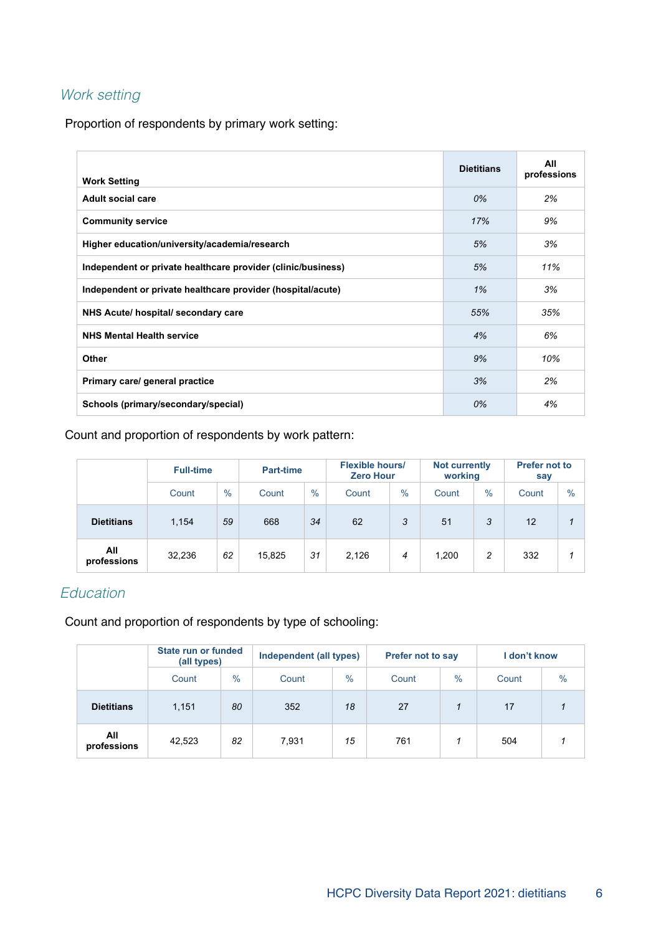# Work setting

Proportion of respondents by primary work setting:

| <b>Work Setting</b>                                          | <b>Dietitians</b> | All<br>professions |
|--------------------------------------------------------------|-------------------|--------------------|
| <b>Adult social care</b>                                     | 0%                | 2%                 |
| <b>Community service</b>                                     | 17%               | 9%                 |
| Higher education/university/academia/research                | 5%                | 3%                 |
| Independent or private healthcare provider (clinic/business) | 5%                | 11%                |
| Independent or private healthcare provider (hospital/acute)  | 1%                | 3%                 |
| NHS Acute/ hospital/ secondary care                          | 55%               | 35%                |
| <b>NHS Mental Health service</b>                             | 4%                | 6%                 |
| Other                                                        | 9%                | 10%                |
| Primary care/ general practice                               | 3%                | 2%                 |
| Schools (primary/secondary/special)                          | 0%                | 4%                 |

Count and proportion of respondents by work pattern:

|                    | <b>Full-time</b> |      | <b>Part-time</b> |      | <b>Flexible hours/</b><br><b>Zero Hour</b> |      | <b>Not currently</b><br>working |      | <b>Prefer not to</b><br>say |               |
|--------------------|------------------|------|------------------|------|--------------------------------------------|------|---------------------------------|------|-----------------------------|---------------|
|                    | Count            | $\%$ | Count            | $\%$ | Count                                      | $\%$ | Count                           | $\%$ | Count                       | $\frac{0}{0}$ |
| <b>Dietitians</b>  | 1,154            | 59   | 668              | 34   | 62                                         | 3    | 51                              | 3    | 12                          |               |
| All<br>professions | 32,236           | 62   | 15,825           | 31   | 2,126                                      | 4    | 1,200                           | 2    | 332                         |               |

## Education

Count and proportion of respondents by type of schooling:

|                    | State run or funded<br>(all types) |               | Independent (all types) |      | <b>Prefer not to say</b> |               | I don't know |               |
|--------------------|------------------------------------|---------------|-------------------------|------|--------------------------|---------------|--------------|---------------|
|                    | Count                              | $\frac{0}{0}$ | Count                   | $\%$ | Count                    | $\frac{0}{0}$ | Count        | $\frac{0}{0}$ |
| <b>Dietitians</b>  | 1,151                              | 80            | 352                     | 18   | 27                       |               | 17           |               |
| All<br>professions | 42,523                             | 82            | 7,931                   | 15   | 761                      |               | 504          |               |